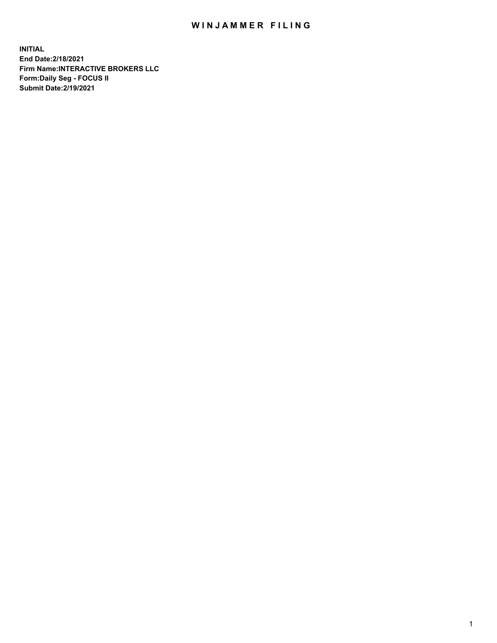## WIN JAMMER FILING

**INITIAL End Date:2/18/2021 Firm Name:INTERACTIVE BROKERS LLC Form:Daily Seg - FOCUS II Submit Date:2/19/2021**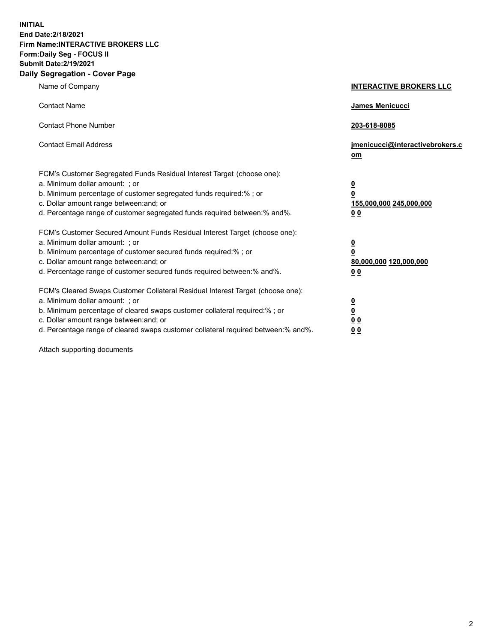**INITIAL End Date:2/18/2021 Firm Name:INTERACTIVE BROKERS LLC Form:Daily Seg - FOCUS II Submit Date:2/19/2021 Daily Segregation - Cover Page**

| Name of Company                                                                                                                                                                                                                                                                                                               | <b>INTERACTIVE BROKERS LLC</b>                                            |  |
|-------------------------------------------------------------------------------------------------------------------------------------------------------------------------------------------------------------------------------------------------------------------------------------------------------------------------------|---------------------------------------------------------------------------|--|
| <b>Contact Name</b>                                                                                                                                                                                                                                                                                                           | James Menicucci                                                           |  |
| <b>Contact Phone Number</b>                                                                                                                                                                                                                                                                                                   | 203-618-8085                                                              |  |
| <b>Contact Email Address</b>                                                                                                                                                                                                                                                                                                  | jmenicucci@interactivebrokers.c<br>$om$                                   |  |
| FCM's Customer Segregated Funds Residual Interest Target (choose one):<br>a. Minimum dollar amount: ; or<br>b. Minimum percentage of customer segregated funds required:% ; or<br>c. Dollar amount range between: and; or<br>d. Percentage range of customer segregated funds required between:% and%.                        | $\overline{\mathbf{0}}$<br>0<br>155,000,000 245,000,000<br>0 <sub>0</sub> |  |
| FCM's Customer Secured Amount Funds Residual Interest Target (choose one):<br>a. Minimum dollar amount: ; or<br>b. Minimum percentage of customer secured funds required:%; or<br>c. Dollar amount range between: and; or<br>d. Percentage range of customer secured funds required between:% and%.                           | $\overline{\mathbf{0}}$<br>$\pmb{0}$<br>80,000,000 120,000,000<br>00      |  |
| FCM's Cleared Swaps Customer Collateral Residual Interest Target (choose one):<br>a. Minimum dollar amount: ; or<br>b. Minimum percentage of cleared swaps customer collateral required:%; or<br>c. Dollar amount range between: and; or<br>d. Percentage range of cleared swaps customer collateral required between:% and%. | $\overline{\mathbf{0}}$<br><u>0</u><br>0 <sub>0</sub><br>0 <sub>0</sub>   |  |

Attach supporting documents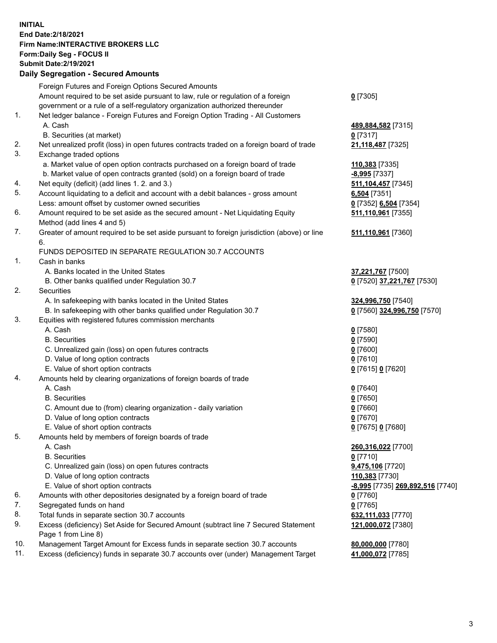**INITIAL End Date:2/18/2021 Firm Name:INTERACTIVE BROKERS LLC Form:Daily Seg - FOCUS II Submit Date:2/19/2021 Daily Segregation - Secured Amounts**

## Foreign Futures and Foreign Options Secured Amounts Amount required to be set aside pursuant to law, rule or regulation of a foreign government or a rule of a self-regulatory organization authorized thereunder **0** [7305] 1. Net ledger balance - Foreign Futures and Foreign Option Trading - All Customers A. Cash **489,884,582** [7315] B. Securities (at market) **0** [7317] 2. Net unrealized profit (loss) in open futures contracts traded on a foreign board of trade **21,118,487** [7325] 3. Exchange traded options a. Market value of open option contracts purchased on a foreign board of trade **110,383** [7335] b. Market value of open contracts granted (sold) on a foreign board of trade **-8,995** [7337] 4. Net equity (deficit) (add lines 1. 2. and 3.) **511,104,457** [7345] 5. Account liquidating to a deficit and account with a debit balances - gross amount **6,504** [7351] Less: amount offset by customer owned securities **0** [7352] **6,504** [7354] 6. Amount required to be set aside as the secured amount - Net Liquidating Equity Method (add lines 4 and 5) **511,110,961** [7355] 7. Greater of amount required to be set aside pursuant to foreign jurisdiction (above) or line 6. **511,110,961** [7360] FUNDS DEPOSITED IN SEPARATE REGULATION 30.7 ACCOUNTS 1. Cash in banks A. Banks located in the United States **37,221,767** [7500] B. Other banks qualified under Regulation 30.7 **0** [7520] **37,221,767** [7530] 2. Securities A. In safekeeping with banks located in the United States **324,996,750** [7540] B. In safekeeping with other banks qualified under Regulation 30.7 **0** [7560] **324,996,750** [7570] 3. Equities with registered futures commission merchants A. Cash **0** [7580] B. Securities **0** [7590] C. Unrealized gain (loss) on open futures contracts **0** [7600] D. Value of long option contracts **0** [7610] E. Value of short option contracts **0** [7615] **0** [7620] 4. Amounts held by clearing organizations of foreign boards of trade A. Cash **0** [7640] B. Securities **0** [7650] C. Amount due to (from) clearing organization - daily variation **0** [7660] D. Value of long option contracts **0** [7670] E. Value of short option contracts **0** [7675] **0** [7680] 5. Amounts held by members of foreign boards of trade A. Cash **260,316,022** [7700] B. Securities **0** [7710] C. Unrealized gain (loss) on open futures contracts **9,475,106** [7720] D. Value of long option contracts **110,383** [7730] E. Value of short option contracts **-8,995** [7735] **269,892,516** [7740] 6. Amounts with other depositories designated by a foreign board of trade **0** [7760] 7. Segregated funds on hand **0** [7765] 8. Total funds in separate section 30.7 accounts **632,111,033** [7770] 9. Excess (deficiency) Set Aside for Secured Amount (subtract line 7 Secured Statement Page 1 from Line 8) **121,000,072** [7380] 10. Management Target Amount for Excess funds in separate section 30.7 accounts **80,000,000** [7780] 11. Excess (deficiency) funds in separate 30.7 accounts over (under) Management Target **41,000,072** [7785]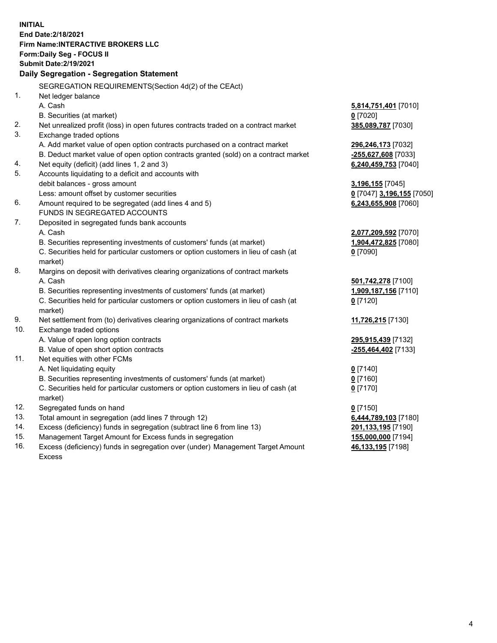**INITIAL End Date:2/18/2021 Firm Name:INTERACTIVE BROKERS LLC Form:Daily Seg - FOCUS II Submit Date:2/19/2021 Daily Segregation - Segregation Statement** SEGREGATION REQUIREMENTS(Section 4d(2) of the CEAct) 1. Net ledger balance A. Cash **5,814,751,401** [7010] B. Securities (at market) **0** [7020] 2. Net unrealized profit (loss) in open futures contracts traded on a contract market **385,089,787** [7030] 3. Exchange traded options A. Add market value of open option contracts purchased on a contract market **296,246,173** [7032] B. Deduct market value of open option contracts granted (sold) on a contract market **-255,627,608** [7033] 4. Net equity (deficit) (add lines 1, 2 and 3) **6,240,459,753** [7040] 5. Accounts liquidating to a deficit and accounts with debit balances - gross amount **3,196,155** [7045] Less: amount offset by customer securities **0** [7047] **3,196,155** [7050] 6. Amount required to be segregated (add lines 4 and 5) **6,243,655,908** [7060] FUNDS IN SEGREGATED ACCOUNTS 7. Deposited in segregated funds bank accounts A. Cash **2,077,209,592** [7070] B. Securities representing investments of customers' funds (at market) **1,904,472,825** [7080] C. Securities held for particular customers or option customers in lieu of cash (at market) **0** [7090] 8. Margins on deposit with derivatives clearing organizations of contract markets A. Cash **501,742,278** [7100] B. Securities representing investments of customers' funds (at market) **1,909,187,156** [7110] C. Securities held for particular customers or option customers in lieu of cash (at market) **0** [7120] 9. Net settlement from (to) derivatives clearing organizations of contract markets **11,726,215** [7130] 10. Exchange traded options A. Value of open long option contracts **295,915,439** [7132] B. Value of open short option contracts **-255,464,402** [7133] 11. Net equities with other FCMs A. Net liquidating equity **0** [7140] B. Securities representing investments of customers' funds (at market) **0** [7160] C. Securities held for particular customers or option customers in lieu of cash (at market) **0** [7170] 12. Segregated funds on hand **0** [7150] 13. Total amount in segregation (add lines 7 through 12) **6,444,789,103** [7180] 14. Excess (deficiency) funds in segregation (subtract line 6 from line 13) **201,133,195** [7190] 15. Management Target Amount for Excess funds in segregation **155,000,000** [7194] 16. Excess (deficiency) funds in segregation over (under) Management Target Amount **46,133,195** [7198]

Excess